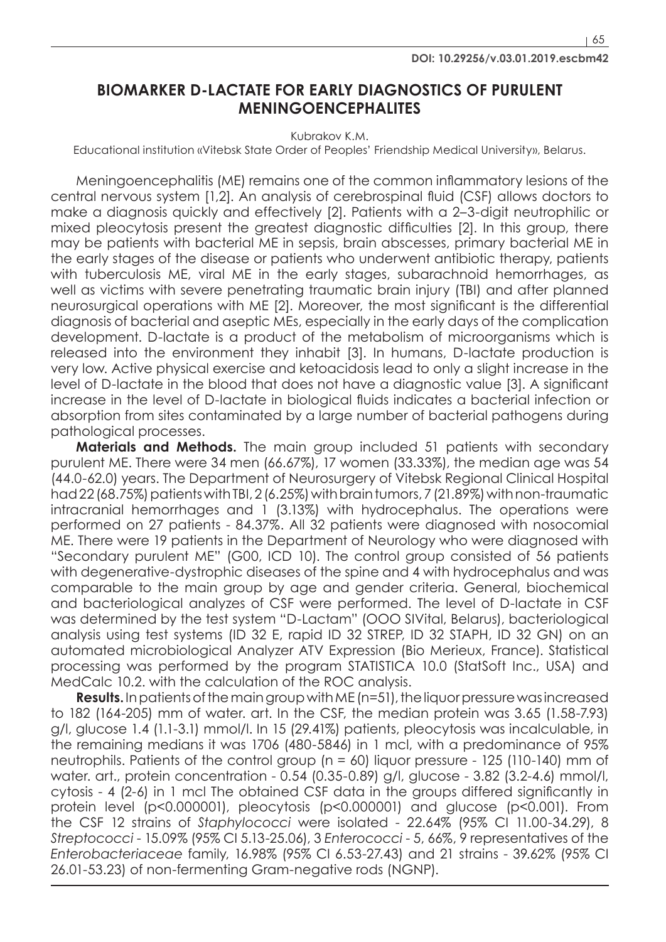65

## **BIOMARKER D-LACTATE FOR EARLY DIAGNOSTICS OF PURULENT MENINGOENCEPHALITES**

Kubrakov K.M.

Educational institution «Vitebsk State Order of Peoples' Friendship Medical University», Belarus.

Meningoencephalitis (ME) remains one of the common inflammatory lesions of the central nervous system [1,2]. An analysis of cerebrospinal fluid (CSF) allows doctors to make a diagnosis quickly and effectively [2]. Patients with a 2–3-digit neutrophilic or mixed pleocytosis present the greatest diagnostic difficulties [2]. In this group, there may be patients with bacterial ME in sepsis, brain abscesses, primary bacterial ME in the early stages of the disease or patients who underwent antibiotic therapy, patients with tuberculosis ME, viral ME in the early stages, subarachnoid hemorrhages, as well as victims with severe penetrating traumatic brain injury (TBI) and after planned neurosurgical operations with ME [2]. Moreover, the most significant is the differential diagnosis of bacterial and aseptic MEs, especially in the early days of the complication development. D-lactate is a product of the metabolism of microorganisms which is released into the environment they inhabit [3]. In humans, D-lactate production is very low. Active physical exercise and ketoacidosis lead to only a slight increase in the level of D-lactate in the blood that does not have a diagnostic value [3]. A significant increase in the level of D-lactate in biological fluids indicates a bacterial infection or absorption from sites contaminated by a large number of bacterial pathogens during pathological processes.

**Materials and Methods.** The main group included 51 patients with secondary purulent ME. There were 34 men (66.67%), 17 women (33.33%), the median age was 54 (44.0-62.0) years. The Department of Neurosurgery of Vitebsk Regional Clinical Hospital had22 (68.75%) patients with TBI, 2 (6.25%) with brain tumors, 7 (21.89%) with non-traumatic intracranial hemorrhages and 1 (3.13%) with hydrocephalus. The operations were performed on 27 patients - 84.37%. All 32 patients were diagnosed with nosocomial ME. There were 19 patients in the Department of Neurology who were diagnosed with "Secondary purulent ME" (G00, ICD 10). The control group consisted of 56 patients with degenerative-dystrophic diseases of the spine and 4 with hydrocephalus and was comparable to the main group by age and gender criteria. General, biochemical and bacteriological analyzes of CSF were performed. The level of D-lactate in CSF was determined by the test system "D-Lactam" (OOO SIVital, Belarus), bacteriological analysis using test systems (ID 32 E, rapid ID 32 STREP, ID 32 STAPH, ID 32 GN) on an automated microbiological Analyzer ATV Expression (Bio Merieux, France). Statistical processing was performed by the program STATISTICA 10.0 (StatSoft Inc., USA) and MedCalc 10.2. with the calculation of the ROC analysis.

**Results.** In patients of the main group with ME (n=51), the liquor pressure was increased to 182 (164-205) mm of water. art. In the CSF, the median protein was 3.65 (1.58-7.93) g/l, glucose 1.4 (1.1-3.1) mmol/l. In 15 (29.41%) patients, pleocytosis was incalculable, in the remaining medians it was 1706 (480-5846) in 1 mcl, with a predominance of 95% neutrophils. Patients of the control group (n = 60) liquor pressure - 125 (110-140) mm of water. art., protein concentration - 0.54 (0.35-0.89) g/l, glucose - 3.82 (3.2-4.6) mmol/l, cytosis - 4 (2-6) in 1 mcl The obtained CSF data in the groups differed significantly in protein level (p<0.000001), pleocytosis (p<0.000001) and glucose (p<0.001). From the CSF 12 strains of *Staphylococci* were isolated - 22.64% (95% CI 11.00-34.29), 8 *Streptococci* - 15.09% (95% CI 5.13-25.06), 3 *Enterococci* - 5, 66%, 9 representatives of the *Enterobacteriaceae* family, 16.98% (95% CI 6.53-27.43) and 21 strains - 39.62% (95% CI 26.01-53.23) of non-fermenting Gram-negative rods (NGNP).